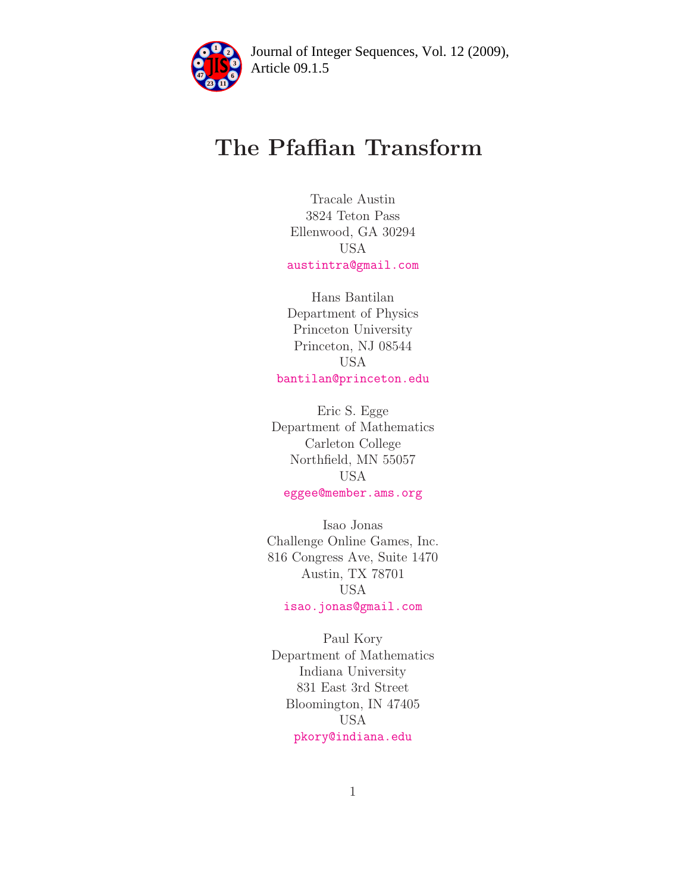

Article 09.1.5 **<sup>2</sup>** Journal of Integer Sequences, Vol. 12 (2009),

# The Pfaffian Transform

Tracale Austin 3824 Teton Pass Ellenwood, GA 30294 USA [austintra@gmail.com](mailto:austintra@gmail.com)

Hans Bantilan Department of Physics Princeton University Princeton, NJ 08544 USA [bantilan@princeton.edu](mailto:bantilan@princeton.edu)

Eric S. Egge Department of Mathematics Carleton College Northfield, MN 55057 USA [eggee@member.ams.org](mailto:eggee@member.ams.org)

Isao Jonas Challenge Online Games, Inc. 816 Congress Ave, Suite 1470 Austin, TX 78701 USA [isao.jonas@gmail.com](mailto:isao.jonas@gmail.com)

Paul Kory Department of Mathematics Indiana University 831 East 3rd Street Bloomington, IN 47405 USA [pkory@indiana.edu](mailto:pkory@indiana.edu)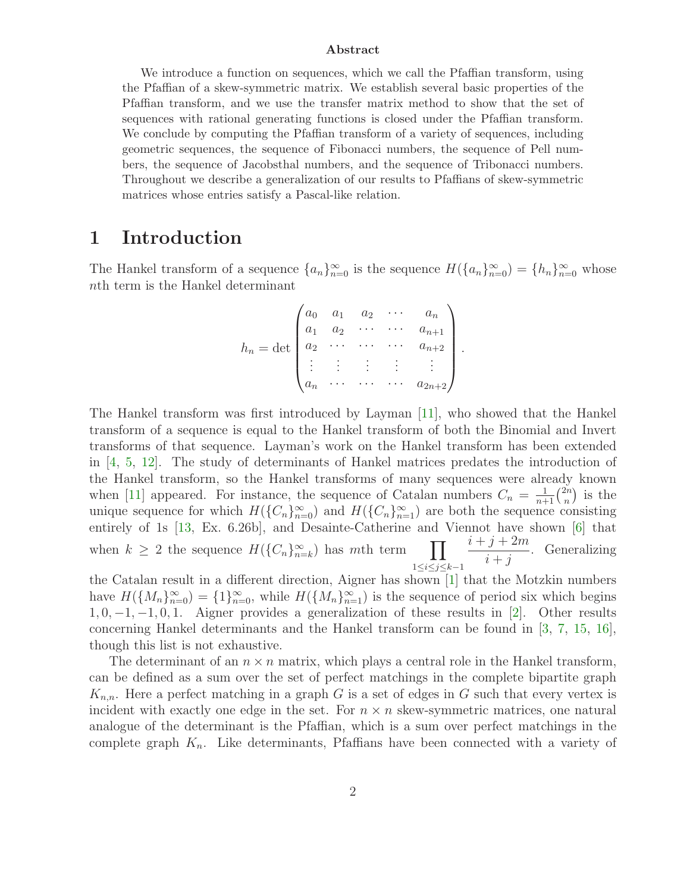#### Abstract

We introduce a function on sequences, which we call the Pfaffian transform, using the Pfaffian of a skew-symmetric matrix. We establish several basic properties of the Pfaffian transform, and we use the transfer matrix method to show that the set of sequences with rational generating functions is closed under the Pfaffian transform. We conclude by computing the Pfaffian transform of a variety of sequences, including geometric sequences, the sequence of Fibonacci numbers, the sequence of Pell numbers, the sequence of Jacobsthal numbers, and the sequence of Tribonacci numbers. Throughout we describe a generalization of our results to Pfaffians of skew-symmetric matrices whose entries satisfy a Pascal-like relation.

#### 1 Introduction

The Hankel transform of a sequence  $\{a_n\}_{n=0}^{\infty}$  is the sequence  $H(\{a_n\}_{n=0}^{\infty}) = \{h_n\}_{n=0}^{\infty}$  whose nth term is the Hankel determinant

$$
h_n = \det \begin{pmatrix} a_0 & a_1 & a_2 & \cdots & a_n \\ a_1 & a_2 & \cdots & \cdots & a_{n+1} \\ a_2 & \cdots & \cdots & \cdots & a_{n+2} \\ \vdots & \vdots & \vdots & \vdots & \vdots \\ a_n & \cdots & \cdots & \cdots & a_{2n+2} \end{pmatrix}.
$$

The Hankel transform was first introduced by Layman [\[11\]](#page-18-0), who showed that the Hankel transform of a sequence is equal to the Hankel transform of both the Binomial and Invert transforms of that sequence. Layman's work on the Hankel transform has been extended in [\[4,](#page-18-1) [5,](#page-18-2) [12\]](#page-18-3). The study of determinants of Hankel matrices predates the introduction of the Hankel transform, so the Hankel transforms of many sequences were already known when [\[11\]](#page-18-0) appeared. For instance, the sequence of Catalan numbers  $C_n = \frac{1}{n+1} \binom{2n}{n}$  $\binom{2n}{n}$  is the unique sequence for which  $H(\{C_n\}_{n=0}^{\infty})$  and  $H(\{C_n\}_{n=1}^{\infty})$  are both the sequence consisting entirely of 1s [\[13,](#page-18-4) Ex. 6.26b], and Desainte-Catherine and Viennot have shown [\[6\]](#page-18-5) that when  $k \geq 2$  the sequence  $H(\lbrace C_n \rbrace_{n=k}^{\infty})$  has mth term  $\prod$ 1≤i≤j≤k−1  $i + j + 2m$  $\frac{j+2m}{i+j}$ . Generalizing

the Catalan result in a different direction, Aigner has shown [\[1\]](#page-17-0) that the Motzkin numbers have  $H(\lbrace M_n \rbrace_{n=0}^{\infty}) = \lbrace 1 \rbrace_{n=0}^{\infty}$ , while  $H(\lbrace M_n \rbrace_{n=1}^{\infty})$  is the sequence of period six which begins  $1, 0, -1, -1, 0, 1$ . Aigner provides a generalization of these results in [\[2\]](#page-18-6). Other results concerning Hankel determinants and the Hankel transform can be found in [\[3,](#page-18-7) [7,](#page-18-8) [15,](#page-18-9) [16\]](#page-18-10), though this list is not exhaustive.

The determinant of an  $n \times n$  matrix, which plays a central role in the Hankel transform, can be defined as a sum over the set of perfect matchings in the complete bipartite graph  $K_{n,n}$ . Here a perfect matching in a graph G is a set of edges in G such that every vertex is incident with exactly one edge in the set. For  $n \times n$  skew-symmetric matrices, one natural analogue of the determinant is the Pfaffian, which is a sum over perfect matchings in the complete graph  $K_n$ . Like determinants, Pfaffians have been connected with a variety of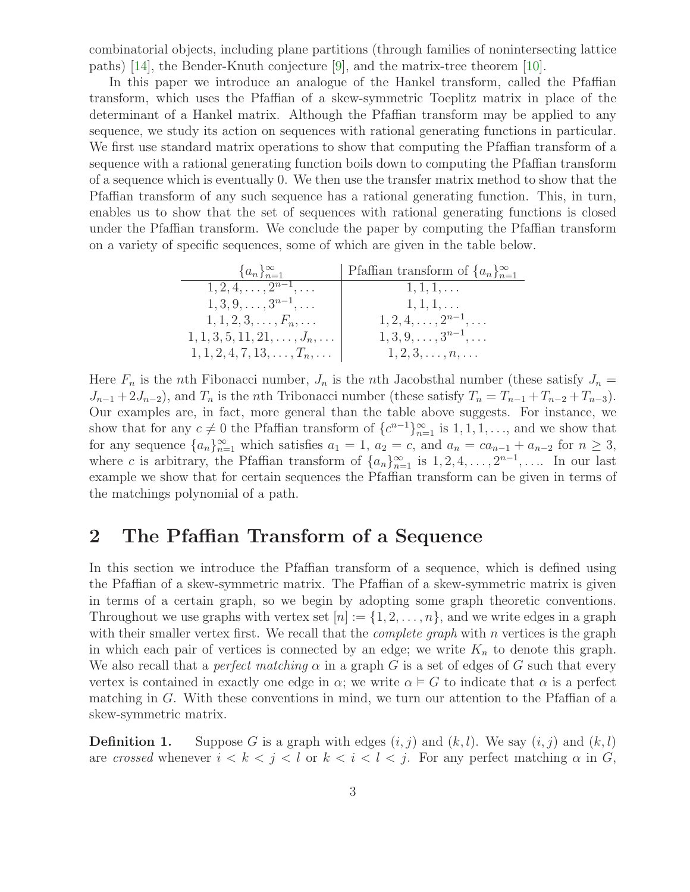combinatorial objects, including plane partitions (through families of nonintersecting lattice paths) [\[14\]](#page-18-11), the Bender-Knuth conjecture [\[9\]](#page-18-12), and the matrix-tree theorem [\[10\]](#page-18-13).

In this paper we introduce an analogue of the Hankel transform, called the Pfaffian transform, which uses the Pfaffian of a skew-symmetric Toeplitz matrix in place of the determinant of a Hankel matrix. Although the Pfaffian transform may be applied to any sequence, we study its action on sequences with rational generating functions in particular. We first use standard matrix operations to show that computing the Pfaffian transform of a sequence with a rational generating function boils down to computing the Pfaffian transform of a sequence which is eventually 0. We then use the transfer matrix method to show that the Pfaffian transform of any such sequence has a rational generating function. This, in turn, enables us to show that the set of sequences with rational generating functions is closed under the Pfaffian transform. We conclude the paper by computing the Pfaffian transform on a variety of specific sequences, some of which are given in the table below.

| $\{a_n\}_{n=1}^{\infty}$                  | Pfaffian transform of $\{a_n\}_{n=1}^{\infty}$ |
|-------------------------------------------|------------------------------------------------|
| $1, 2, 4, \ldots, 2^{n-1}, \ldots$        | $1, 1, 1, \ldots$                              |
| $1, 3, 9, \ldots, 3^{n-1}, \ldots$        | $1, 1, 1, \ldots$                              |
| $1, 1, 2, 3, \ldots, F_n, \ldots$         | $1, 2, 4, \ldots, 2^{n-1}, \ldots$             |
| $1, 1, 3, 5, 11, 21, \ldots, J_n, \ldots$ | $1, 3, 9, \ldots, 3^{n-1}, \ldots$             |
| $1, 1, 2, 4, 7, 13, \ldots, T_n, \ldots$  | $1, 2, 3, \ldots, n, \ldots$                   |

Here  $F_n$  is the nth Fibonacci number,  $J_n$  is the nth Jacobsthal number (these satisfy  $J_n =$  $J_{n-1}$  +  $2J_{n-2}$ ), and  $T_n$  is the nth Tribonacci number (these satisfy  $T_n = T_{n-1} + T_{n-2} + T_{n-3}$ ). Our examples are, in fact, more general than the table above suggests. For instance, we show that for any  $c \neq 0$  the Pfaffian transform of  $\{c^{n-1}\}_{n=1}^{\infty}$  is  $1, 1, 1, \ldots$ , and we show that for any sequence  $\{a_n\}_{n=1}^{\infty}$  which satisfies  $a_1 = 1$ ,  $a_2 = c$ , and  $a_n = ca_{n-1} + a_{n-2}$  for  $n \ge 3$ , where c is arbitrary, the Pfaffian transform of  $\{a_n\}_{n=1}^{\infty}$  is  $1, 2, 4, \ldots, 2^{n-1}, \ldots$  In our last example we show that for certain sequences the Pfaffian transform can be given in terms of the matchings polynomial of a path.

# 2 The Pfaffian Transform of a Sequence

In this section we introduce the Pfaffian transform of a sequence, which is defined using the Pfaffian of a skew-symmetric matrix. The Pfaffian of a skew-symmetric matrix is given in terms of a certain graph, so we begin by adopting some graph theoretic conventions. Throughout we use graphs with vertex set  $[n] := \{1, 2, \ldots, n\}$ , and we write edges in a graph with their smaller vertex first. We recall that the *complete graph* with  $n$  vertices is the graph in which each pair of vertices is connected by an edge; we write  $K_n$  to denote this graph. We also recall that a *perfect matching*  $\alpha$  in a graph G is a set of edges of G such that every vertex is contained in exactly one edge in  $\alpha$ ; we write  $\alpha \models G$  to indicate that  $\alpha$  is a perfect matching in  $G$ . With these conventions in mind, we turn our attention to the Pfaffian of a skew-symmetric matrix.

**Definition 1.** Suppose G is a graph with edges  $(i, j)$  and  $(k, l)$ . We say  $(i, j)$  and  $(k, l)$ are crossed whenever  $i < k < j < l$  or  $k < i < l < j$ . For any perfect matching  $\alpha$  in G,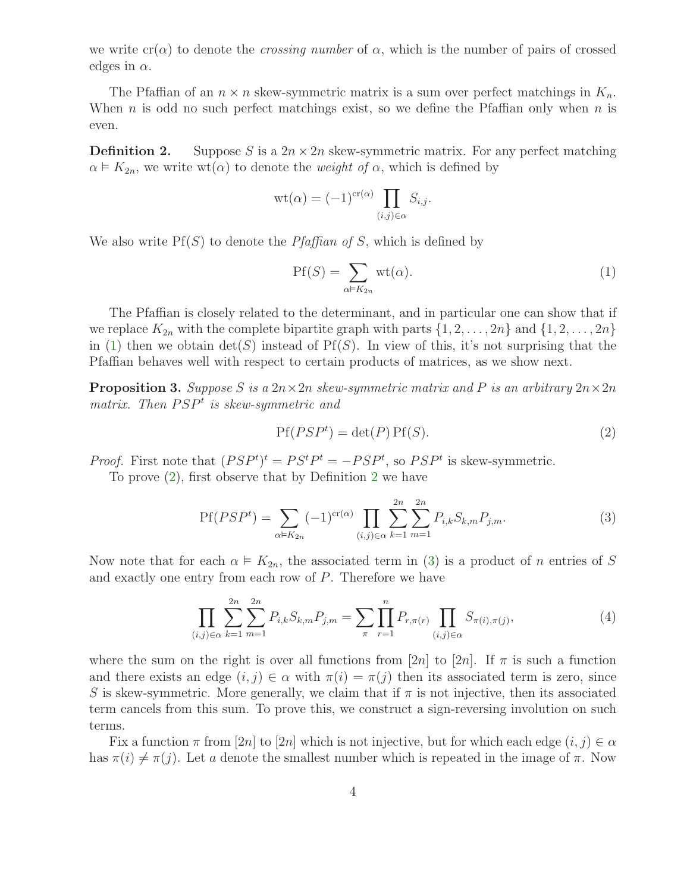we write  $cr(\alpha)$  to denote the *crossing number* of  $\alpha$ , which is the number of pairs of crossed edges in  $\alpha$ .

<span id="page-3-2"></span>The Pfaffian of an  $n \times n$  skew-symmetric matrix is a sum over perfect matchings in  $K_n$ . When n is odd no such perfect matchings exist, so we define the Pfaffian only when  $n$  is even.

**Definition 2.** Suppose S is a  $2n \times 2n$  skew-symmetric matrix. For any perfect matching  $\alpha \models K_{2n}$ , we write wt( $\alpha$ ) to denote the *weight of*  $\alpha$ , which is defined by

$$
\mathrm{wt}(\alpha) = (-1)^{\mathrm{cr}(\alpha)} \prod_{(i,j)\in\alpha} S_{i,j}.
$$

We also write  $Pf(S)$  to denote the *Pfaffian of S*, which is defined by

<span id="page-3-0"></span>
$$
Pf(S) = \sum_{\alpha \in K_{2n}} \text{wt}(\alpha). \tag{1}
$$

The Pfaffian is closely related to the determinant, and in particular one can show that if we replace  $K_{2n}$  with the complete bipartite graph with parts  $\{1, 2, \ldots, 2n\}$  and  $\{1, 2, \ldots, 2n\}$ in [\(1\)](#page-3-0) then we obtain  $\det(S)$  instead of Pf(S). In view of this, it's not surprising that the Pfaffian behaves well with respect to certain products of matrices, as we show next.

<span id="page-3-5"></span>**Proposition 3.** Suppose S is a  $2n \times 2n$  skew-symmetric matrix and P is an arbitrary  $2n \times 2n$ matrix. Then  $PSP<sup>t</sup>$  is skew-symmetric and

<span id="page-3-4"></span><span id="page-3-3"></span><span id="page-3-1"></span>
$$
Pf(PSPt) = det(P) Pf(S).
$$
\n(2)

*Proof.* First note that  $(PSP<sup>t</sup>)<sup>t</sup> = PS<sup>t</sup>P<sup>t</sup> = -PSP<sup>t</sup>$ , so  $PSP<sup>t</sup>$  is skew-symmetric.

To prove [\(2\)](#page-3-1), first observe that by Definition [2](#page-3-2) we have

$$
Pf(PSPt) = \sum_{\alpha \in K_{2n}} (-1)^{cr(\alpha)} \prod_{(i,j) \in \alpha} \sum_{k=1}^{2n} \sum_{m=1}^{2n} P_{i,k} S_{k,m} P_{j,m}.
$$
 (3)

Now note that for each  $\alpha \models K_{2n}$ , the associated term in [\(3\)](#page-3-3) is a product of n entries of S and exactly one entry from each row of P. Therefore we have

$$
\prod_{(i,j)\in\alpha}\sum_{k=1}^{2n}\sum_{m=1}^{2n}P_{i,k}S_{k,m}P_{j,m}=\sum_{\pi}\prod_{r=1}^{n}P_{r,\pi(r)}\prod_{(i,j)\in\alpha}S_{\pi(i),\pi(j)},\tag{4}
$$

where the sum on the right is over all functions from [2n] to [2n]. If  $\pi$  is such a function and there exists an edge  $(i, j) \in \alpha$  with  $\pi(i) = \pi(j)$  then its associated term is zero, since S is skew-symmetric. More generally, we claim that if  $\pi$  is not injective, then its associated term cancels from this sum. To prove this, we construct a sign-reversing involution on such terms.

Fix a function  $\pi$  from [2n] to [2n] which is not injective, but for which each edge  $(i, j) \in \alpha$ has  $\pi(i) \neq \pi(j)$ . Let a denote the smallest number which is repeated in the image of  $\pi$ . Now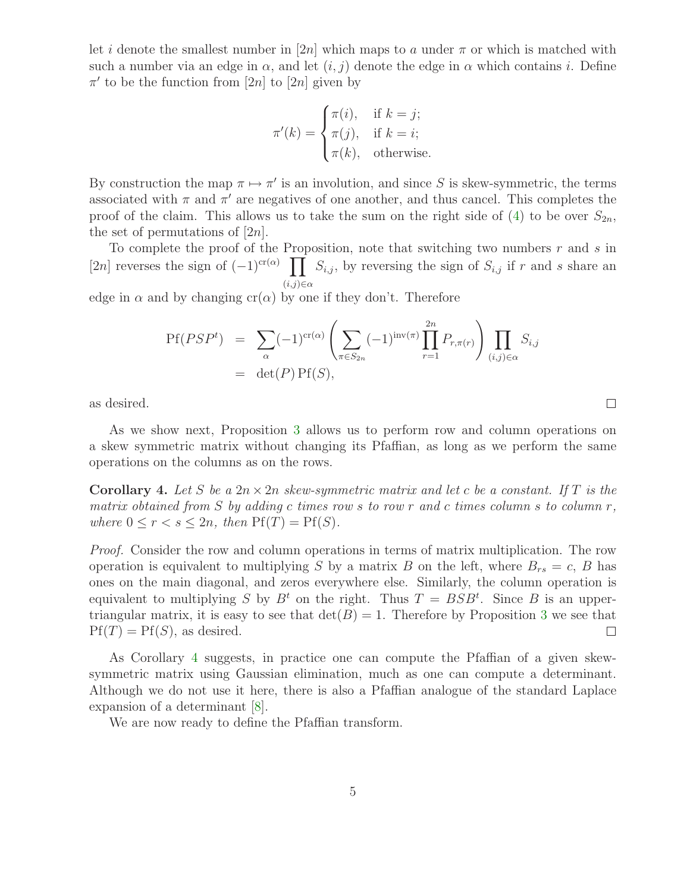let i denote the smallest number in [2n] which maps to a under  $\pi$  or which is matched with such a number via an edge in  $\alpha$ , and let  $(i, j)$  denote the edge in  $\alpha$  which contains i. Define  $\pi'$  to be the function from [2n] to [2n] given by

$$
\pi'(k) = \begin{cases} \pi(i), & \text{if } k = j; \\ \pi(j), & \text{if } k = i; \\ \pi(k), & \text{otherwise.} \end{cases}
$$

By construction the map  $\pi \mapsto \pi'$  is an involution, and since S is skew-symmetric, the terms associated with  $\pi$  and  $\pi'$  are negatives of one another, and thus cancel. This completes the proof of the claim. This allows us to take the sum on the right side of [\(4\)](#page-3-4) to be over  $S_{2n}$ , the set of permutations of  $[2n]$ .

To complete the proof of the Proposition, note that switching two numbers  $r$  and  $s$  in [2n] reverses the sign of  $(-1)^{cr(\alpha)} \prod S_{i,j}$ , by reversing the sign of  $S_{i,j}$  if r and s share an  $(i,j) \in \alpha$ 

edge in  $\alpha$  and by changing cr( $\alpha$ ) by one if they don't. Therefore

$$
Pf(PSPt) = \sum_{\alpha} (-1)^{cr(\alpha)} \left( \sum_{\pi \in S_{2n}} (-1)^{inv(\pi)} \prod_{r=1}^{2n} P_{r,\pi(r)} \right) \prod_{(i,j) \in \alpha} S_{i,j}
$$
  
= det(P) Pf(S),

as desired.

As we show next, Proposition [3](#page-3-5) allows us to perform row and column operations on a skew symmetric matrix without changing its Pfaffian, as long as we perform the same operations on the columns as on the rows.

 $\Box$ 

<span id="page-4-0"></span>**Corollary 4.** Let S be a  $2n \times 2n$  skew-symmetric matrix and let c be a constant. If T is the matrix obtained from S by adding c times row s to row r and c times column s to column  $r$ , where  $0 \leq r < s \leq 2n$ , then  $Pf(T) = Pf(S)$ .

*Proof.* Consider the row and column operations in terms of matrix multiplication. The row operation is equivalent to multiplying S by a matrix B on the left, where  $B_{rs} = c$ , B has ones on the main diagonal, and zeros everywhere else. Similarly, the column operation is equivalent to multiplying S by  $B<sup>t</sup>$  on the right. Thus  $T = BSB<sup>t</sup>$ . Since B is an uppertriangular matrix, it is easy to see that  $\det(B) = 1$ . Therefore by Proposition [3](#page-3-5) we see that  $Pf(T) = Pf(S)$ , as desired.  $\Box$ 

As Corollary [4](#page-4-0) suggests, in practice one can compute the Pfaffian of a given skewsymmetric matrix using Gaussian elimination, much as one can compute a determinant. Although we do not use it here, there is also a Pfaffian analogue of the standard Laplace expansion of a determinant [\[8\]](#page-18-14).

<span id="page-4-1"></span>We are now ready to define the Pfaffian transform.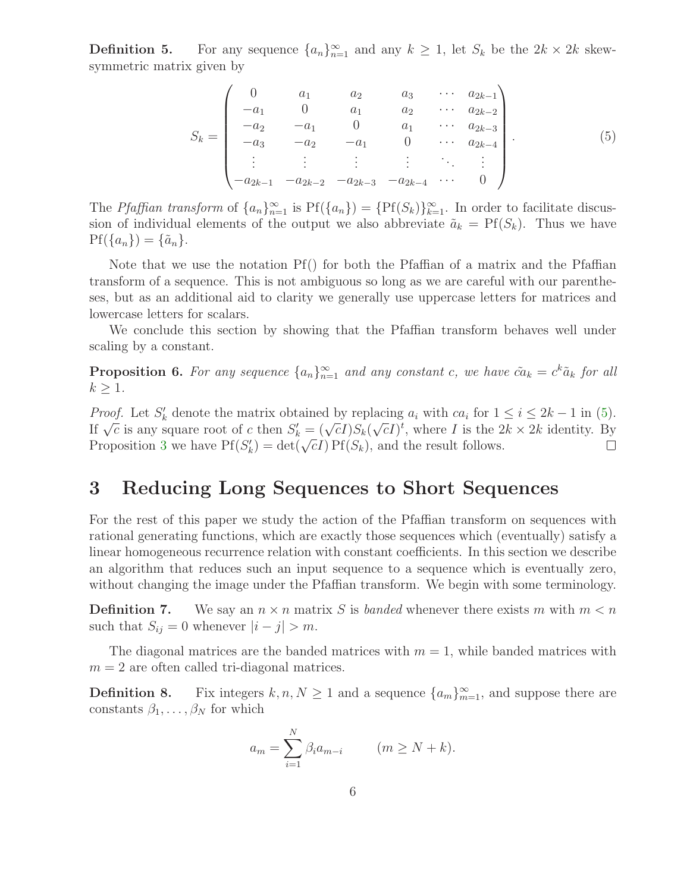**Definition 5.** For any sequence  $\{a_n\}_{n=1}^{\infty}$  and any  $k \geq 1$ , let  $S_k$  be the  $2k \times 2k$  skewsymmetric matrix given by

<span id="page-5-0"></span>
$$
S_k = \begin{pmatrix} 0 & a_1 & a_2 & a_3 & \cdots & a_{2k-1} \\ -a_1 & 0 & a_1 & a_2 & \cdots & a_{2k-2} \\ -a_2 & -a_1 & 0 & a_1 & \cdots & a_{2k-3} \\ -a_3 & -a_2 & -a_1 & 0 & \cdots & a_{2k-4} \\ \vdots & \vdots & \vdots & \vdots & \ddots & \vdots \\ -a_{2k-1} & -a_{2k-2} & -a_{2k-3} & -a_{2k-4} & \cdots & 0 \end{pmatrix}.
$$
 (5)

The Pfaffian transform of  $\{a_n\}_{n=1}^{\infty}$  is  $Pf(\{a_n\}) = \{Pf(S_k)\}_{k=1}^{\infty}$ . In order to facilitate discussion of individual elements of the output we also abbreviate  $\tilde{a}_k = Pf(S_k)$ . Thus we have  $Pf(\{a_n\}) = \{\tilde{a}_n\}.$ 

Note that we use the notation Pf() for both the Pfaffian of a matrix and the Pfaffian transform of a sequence. This is not ambiguous so long as we are careful with our parentheses, but as an additional aid to clarity we generally use uppercase letters for matrices and lowercase letters for scalars.

<span id="page-5-2"></span>We conclude this section by showing that the Pfaffian transform behaves well under scaling by a constant.

**Proposition 6.** For any sequence  $\{a_n\}_{n=1}^{\infty}$  and any constant c, we have  $\tilde{ca}_k = c^k \tilde{a}_k$  for all  $k \geq 1$ .

*Proof.* Let  $S'_k$  denote the matrix obtained by replacing  $a_i$  with  $ca_i$  for  $1 \le i \le 2k - 1$  in [\(5\)](#page-5-0). If  $\overline{\sqrt{c}}$  is any square root of c then  $S'_k = (\sqrt{c}I)S_k(\sqrt{c}I)^t$ , where I is the  $2k \times 2k$  identity. By Proposition [3](#page-3-5) we have  $Pf(S'_k) = det(\sqrt{c}I) Pf(S_k)$ , and the result follows.

### 3 Reducing Long Sequences to Short Sequences

For the rest of this paper we study the action of the Pfaffian transform on sequences with rational generating functions, which are exactly those sequences which (eventually) satisfy a linear homogeneous recurrence relation with constant coefficients. In this section we describe an algorithm that reduces such an input sequence to a sequence which is eventually zero, without changing the image under the Pfaffian transform. We begin with some terminology.

**Definition 7.** We say an  $n \times n$  matrix S is banded whenever there exists m with  $m < n$ such that  $S_{ij} = 0$  whenever  $|i - j| > m$ .

<span id="page-5-1"></span>The diagonal matrices are the banded matrices with  $m = 1$ , while banded matrices with  $m = 2$  are often called tri-diagonal matrices.

**Definition 8.** Fix integers  $k, n, N \ge 1$  and a sequence  $\{a_m\}_{m=1}^{\infty}$ , and suppose there are constants  $\beta_1, \ldots, \beta_N$  for which

$$
a_m = \sum_{i=1}^N \beta_i a_{m-i} \qquad (m \ge N+k).
$$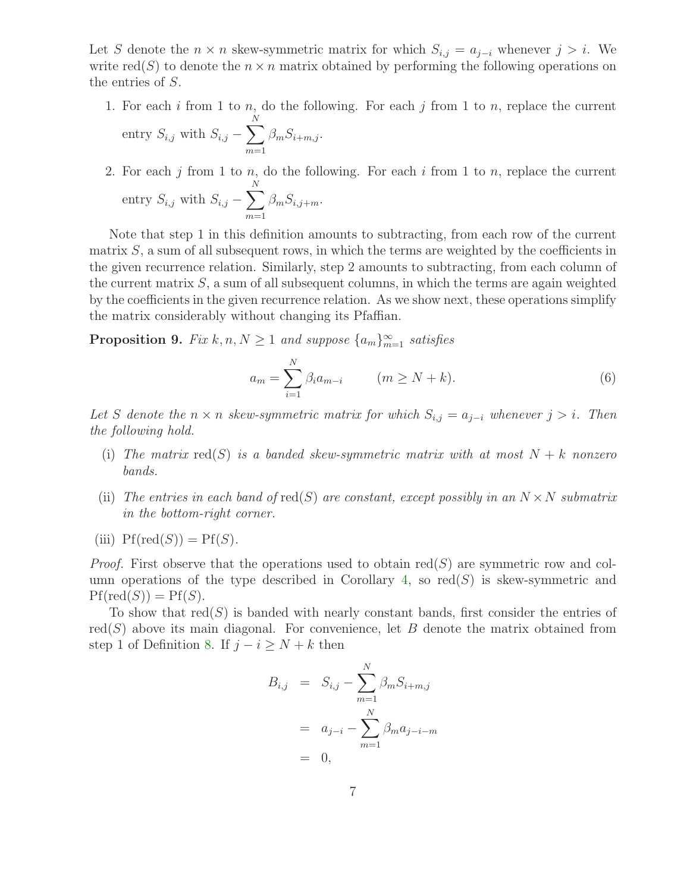Let S denote the  $n \times n$  skew-symmetric matrix for which  $S_{i,j} = a_{j-i}$  whenever  $j > i$ . We write  $\text{red}(S)$  to denote the  $n \times n$  matrix obtained by performing the following operations on the entries of S.

- 1. For each  $i$  from 1 to  $n$ , do the following. For each  $j$  from 1 to  $n$ , replace the current entry  $S_{i,j}$  with  $S_{i,j} - \sum$ N  $m=1$  $\beta_m S_{i+m,j}$ .
- 2. For each  $j$  from 1 to  $n$ , do the following. For each  $i$  from 1 to  $n$ , replace the current entry  $S_{i,j}$  with  $S_{i,j} - \sum$ N  $m=1$  $\beta_m S_{i,j+m}$ .

Note that step 1 in this definition amounts to subtracting, from each row of the current matrix  $S$ , a sum of all subsequent rows, in which the terms are weighted by the coefficients in the given recurrence relation. Similarly, step 2 amounts to subtracting, from each column of the current matrix  $S$ , a sum of all subsequent columns, in which the terms are again weighted by the coefficients in the given recurrence relation. As we show next, these operations simplify the matrix considerably without changing its Pfaffian.

<span id="page-6-1"></span>**Proposition 9.** Fix  $k, n, N \geq 1$  and suppose  $\{a_m\}_{m=1}^{\infty}$  satisfies

<span id="page-6-0"></span>
$$
a_m = \sum_{i=1}^{N} \beta_i a_{m-i} \qquad (m \ge N + k). \tag{6}
$$

Let S denote the  $n \times n$  skew-symmetric matrix for which  $S_{i,j} = a_{j-i}$  whenever  $j > i$ . Then the following hold.

- (i) The matrix  $\text{red}(S)$  is a banded skew-symmetric matrix with at most  $N + k$  nonzero bands.
- (ii) The entries in each band of red(S) are constant, except possibly in an  $N \times N$  submatrix in the bottom-right corner.
- (iii)  $Pf(\text{red}(S)) = Pf(S)$ .

*Proof.* First observe that the operations used to obtain  $red(S)$  are symmetric row and col-umn operations of the type described in Corollary [4,](#page-4-0) so  $red(S)$  is skew-symmetric and  $Pf(\text{red}(S)) = Pf(S).$ 

To show that  $red(S)$  is banded with nearly constant bands, first consider the entries of  $red(S)$  above its main diagonal. For convenience, let B denote the matrix obtained from step 1 of Definition [8.](#page-5-1) If  $j - i \ge N + k$  then

$$
B_{i,j} = S_{i,j} - \sum_{m=1}^{N} \beta_m S_{i+m,j}
$$
  
=  $a_{j-i} - \sum_{m=1}^{N} \beta_m a_{j-i-m}$   
= 0,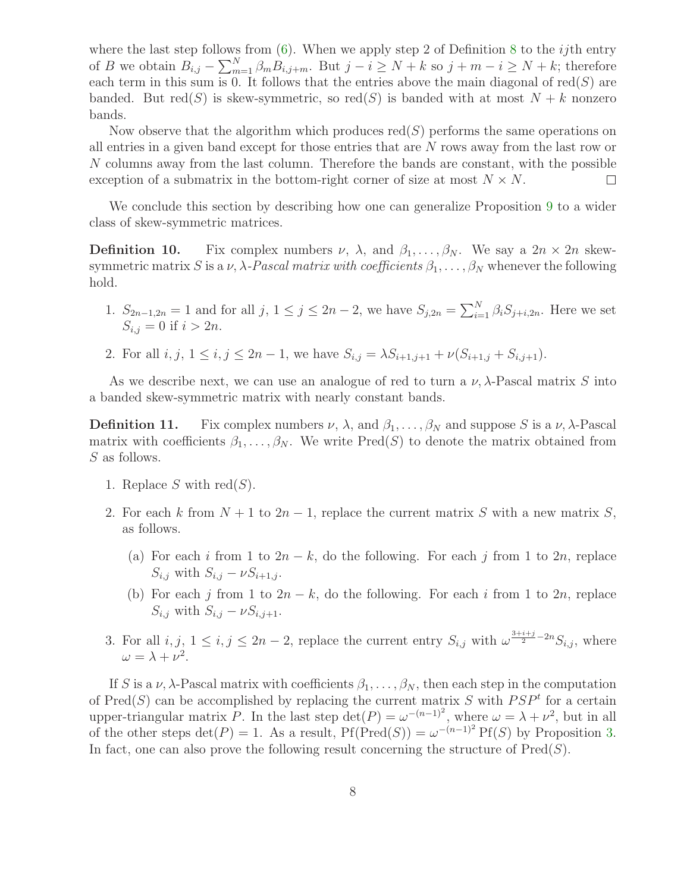where the last step follows from  $(6)$ . When we apply step 2 of Definition [8](#page-5-1) to the *ij*th entry of B we obtain  $B_{i,j} - \sum_{m=1}^{N} \beta_m B_{i,j+m}$ . But  $j - i \ge N + k$  so  $j + m - i \ge N + k$ ; therefore each term in this sum is  $\overline{0}$ . It follows that the entries above the main diagonal of red(S) are banded. But  $red(S)$  is skew-symmetric, so  $red(S)$  is banded with at most  $N + k$  nonzero bands.

Now observe that the algorithm which produces  $red(S)$  performs the same operations on all entries in a given band except for those entries that are N rows away from the last row or N columns away from the last column. Therefore the bands are constant, with the possible exception of a submatrix in the bottom-right corner of size at most  $N \times N$ .  $\Box$ 

We conclude this section by describing how one can generalize Proposition [9](#page-6-1) to a wider class of skew-symmetric matrices.

**Definition 10.** Fix complex numbers  $\nu$ ,  $\lambda$ , and  $\beta_1, \ldots, \beta_N$ . We say a  $2n \times 2n$  skewsymmetric matrix S is a  $\nu$ ,  $\lambda$ -Pascal matrix with coefficients  $\beta_1, \ldots, \beta_N$  whenever the following hold.

- 1.  $S_{2n-1,2n} = 1$  and for all  $j, 1 \le j \le 2n-2$ , we have  $S_{j,2n} = \sum_{i=1}^{N} \beta_i S_{j+i,2n}$ . Here we set  $S_{i,j} = 0$  if  $i > 2n$ .
- 2. For all  $i, j, 1 \le i, j \le 2n 1$ , we have  $S_{i,j} = \lambda S_{i+1,j+1} + \nu (S_{i+1,j} + S_{i,j+1}).$

As we describe next, we can use an analogue of red to turn a  $\nu$ ,  $\lambda$ -Pascal matrix S into a banded skew-symmetric matrix with nearly constant bands.

**Definition 11.** Fix complex numbers  $\nu$ ,  $\lambda$ , and  $\beta_1, \ldots, \beta_N$  and suppose S is a  $\nu$ ,  $\lambda$ -Pascal matrix with coefficients  $\beta_1, \ldots, \beta_N$ . We write Pred(S) to denote the matrix obtained from S as follows.

- 1. Replace S with red $(S)$ .
- 2. For each k from  $N + 1$  to  $2n 1$ , replace the current matrix S with a new matrix S, as follows.
	- (a) For each i from 1 to  $2n k$ , do the following. For each j from 1 to  $2n$ , replace  $S_{i,j}$  with  $S_{i,j} - \nu S_{i+1,j}$ .
	- (b) For each j from 1 to  $2n k$ , do the following. For each i from 1 to  $2n$ , replace  $S_{i,j}$  with  $S_{i,j} - \nu S_{i,j+1}$ .
- 3. For all  $i, j, 1 \leq i, j \leq 2n-2$ , replace the current entry  $S_{i,j}$  with  $\omega^{\frac{3+i+j}{2}-2n}S_{i,j}$ , where  $\omega = \lambda + \nu^2$ .

If S is a  $\nu$ ,  $\lambda$ -Pascal matrix with coefficients  $\beta_1, \ldots, \beta_N$ , then each step in the computation of Pred(S) can be accomplished by replacing the current matrix S with  $PSP<sup>t</sup>$  for a certain upper-triangular matrix P. In the last step  $\det(P) = \omega^{-(n-1)^2}$ , where  $\omega = \lambda + \nu^2$ , but in all of the other steps  $\det(P) = 1$ . As a result,  $Pf(Pred(S)) = \omega^{-(n-1)^2} Pf(S)$  by Proposition [3.](#page-3-5) In fact, one can also prove the following result concerning the structure of  $Pred(S)$ .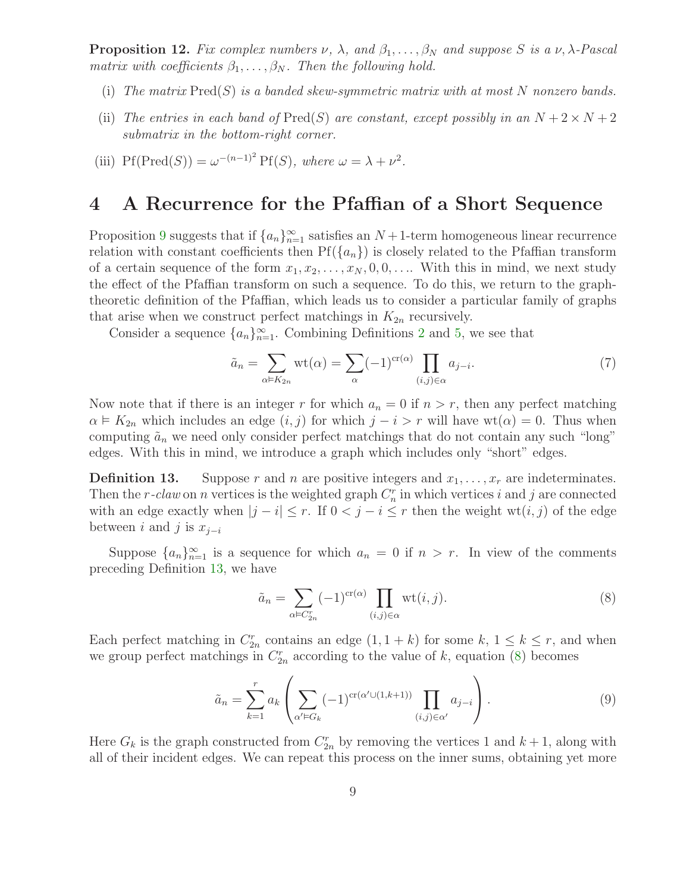**Proposition 12.** Fix complex numbers  $\nu$ ,  $\lambda$ , and  $\beta_1, \ldots, \beta_N$  and suppose S is a  $\nu$ ,  $\lambda$ -Pascal matrix with coefficients  $\beta_1, \ldots, \beta_N$ . Then the following hold.

- (i) The matrix  $\text{Pred}(S)$  is a banded skew-symmetric matrix with at most N nonzero bands.
- (ii) The entries in each band of  $Pred(S)$  are constant, except possibly in an  $N + 2 \times N + 2$ submatrix in the bottom-right corner.
- (iii)  $\text{Pf}(\text{Pred}(S)) = \omega^{-(n-1)^2} \text{Pf}(S)$ , where  $\omega = \lambda + \nu^2$ .

#### 4 A Recurrence for the Pfaffian of a Short Sequence

Proposition [9](#page-6-1) suggests that if  $\{a_n\}_{n=1}^{\infty}$  satisfies an  $N+1$ -term homogeneous linear recurrence relation with constant coefficients then  $Pf(\{a_n\})$  is closely related to the Pfaffian transform of a certain sequence of the form  $x_1, x_2, \ldots, x_N, 0, 0, \ldots$  With this in mind, we next study the effect of the Pfaffian transform on such a sequence. To do this, we return to the graphtheoretic definition of the Pfaffian, which leads us to consider a particular family of graphs that arise when we construct perfect matchings in  $K_{2n}$  recursively.

Consider a sequence  $\{a_n\}_{n=1}^{\infty}$ . Combining Definitions [2](#page-3-2) and [5,](#page-4-1) we see that

<span id="page-8-2"></span>
$$
\tilde{a}_n = \sum_{\alpha \in K_{2n}} \text{wt}(\alpha) = \sum_{\alpha} (-1)^{\text{cr}(\alpha)} \prod_{(i,j) \in \alpha} a_{j-i}.
$$
 (7)

Now note that if there is an integer r for which  $a_n = 0$  if  $n > r$ , then any perfect matching  $\alpha \models K_{2n}$  which includes an edge  $(i, j)$  for which  $j - i > r$  will have wt $(\alpha) = 0$ . Thus when computing  $\tilde{a}_n$  we need only consider perfect matchings that do not contain any such "long" edges. With this in mind, we introduce a graph which includes only "short" edges.

<span id="page-8-0"></span>**Definition 13.** Suppose r and n are positive integers and  $x_1, \ldots, x_r$  are indeterminates. Then the r-claw on n vertices is the weighted graph  $C_n^r$  in which vertices i and j are connected with an edge exactly when  $|j - i| \leq r$ . If  $0 < j - i \leq r$  then the weight wt $(i, j)$  of the edge between i and j is  $x_{i-i}$ 

Suppose  $\{a_n\}_{n=1}^{\infty}$  is a sequence for which  $a_n = 0$  if  $n > r$ . In view of the comments preceding Definition [13,](#page-8-0) we have

<span id="page-8-3"></span><span id="page-8-1"></span>
$$
\tilde{a}_n = \sum_{\alpha \in C_{2n}^r} (-1)^{\operatorname{cr}(\alpha)} \prod_{(i,j) \in \alpha} \operatorname{wt}(i,j). \tag{8}
$$

Each perfect matching in  $C_{2n}^r$  contains an edge  $(1, 1 + k)$  for some  $k, 1 \leq k \leq r$ , and when we group perfect matchings in  $C_{2n}^r$  according to the value of k, equation [\(8\)](#page-8-1) becomes

$$
\tilde{a}_n = \sum_{k=1}^r a_k \left( \sum_{\alpha' \in G_k} (-1)^{\operatorname{cr}(\alpha' \cup (1,k+1))} \prod_{(i,j) \in \alpha'} a_{j-i} \right).
$$
\n(9)

Here  $G_k$  is the graph constructed from  $C_{2n}^r$  by removing the vertices 1 and  $k+1$ , along with all of their incident edges. We can repeat this process on the inner sums, obtaining yet more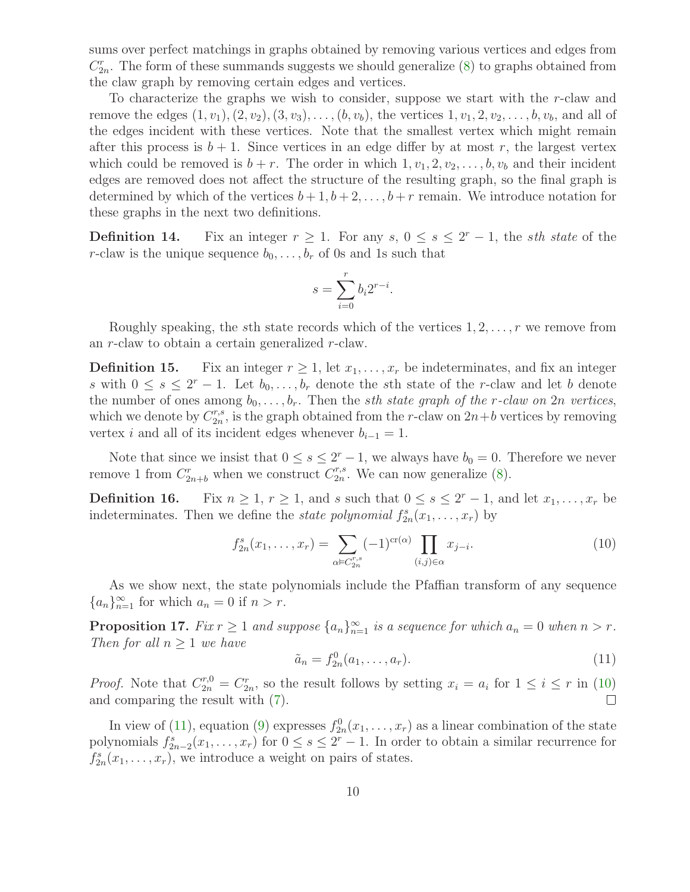sums over perfect matchings in graphs obtained by removing various vertices and edges from  $C_{2n}^{r}$ . The form of these summands suggests we should generalize [\(8\)](#page-8-1) to graphs obtained from the claw graph by removing certain edges and vertices.

To characterize the graphs we wish to consider, suppose we start with the r-claw and remove the edges  $(1, v_1), (2, v_2), (3, v_3), \ldots, (b, v_b)$ , the vertices  $1, v_1, 2, v_2, \ldots, b, v_b$ , and all of the edges incident with these vertices. Note that the smallest vertex which might remain after this process is  $b + 1$ . Since vertices in an edge differ by at most r, the largest vertex which could be removed is  $b + r$ . The order in which  $1, v_1, 2, v_2, \ldots, b, v_b$  and their incident edges are removed does not affect the structure of the resulting graph, so the final graph is determined by which of the vertices  $b + 1, b + 2, \ldots, b + r$  remain. We introduce notation for these graphs in the next two definitions.

**Definition 14.** Fix an integer  $r \geq 1$ . For any  $s, 0 \leq s \leq 2^r - 1$ , the *sth state* of the r-claw is the unique sequence  $b_0, \ldots, b_r$  of 0s and 1s such that

$$
s = \sum_{i=0}^{r} b_i 2^{r-i}.
$$

Roughly speaking, the sth state records which of the vertices  $1, 2, \ldots, r$  we remove from an r-claw to obtain a certain generalized r-claw.

**Definition 15.** Fix an integer  $r \geq 1$ , let  $x_1, \ldots, x_r$  be indeterminates, and fix an integer s with  $0 \leq s \leq 2^r - 1$ . Let  $b_0, \ldots, b_r$  denote the sth state of the r-claw and let b denote the number of ones among  $b_0, \ldots, b_r$ . Then the *sth state graph of the r-claw on* 2n vertices, which we denote by  $C_{2n}^{r,s}$  $x_2^{r,s}$ , is the graph obtained from the *r*-claw on  $2n+b$  vertices by removing vertex *i* and all of its incident edges whenever  $b_{i-1} = 1$ .

<span id="page-9-3"></span>Note that since we insist that  $0 \leq s \leq 2^{r}-1$ , we always have  $b_0 = 0$ . Therefore we never remove 1 from  $C_{2n+b}^r$  when we construct  $C_{2n}^{r,s}$  $x_{2n}^{r,s}$ . We can now generalize  $(8)$ .

**Definition 16.** Fix  $n \geq 1$ ,  $r \geq 1$ , and s such that  $0 \leq s \leq 2^r - 1$ , and let  $x_1, \ldots, x_r$  be indeterminates. Then we define the *state polynomial*  $f_{2n}^s(x_1, \ldots, x_r)$  by

<span id="page-9-0"></span>
$$
f_{2n}^s(x_1,\ldots,x_r) = \sum_{\alpha \in C_{2n}^{r,s}} (-1)^{\operatorname{cr}(\alpha)} \prod_{(i,j) \in \alpha} x_{j-i}.
$$
 (10)

As we show next, the state polynomials include the Pfaffian transform of any sequence  ${a_n}_{n=1}^{\infty}$  for which  $a_n = 0$  if  $n > r$ .

<span id="page-9-1"></span>**Proposition 17.** Fix  $r \geq 1$  and suppose  $\{a_n\}_{n=1}^{\infty}$  is a sequence for which  $a_n = 0$  when  $n > r$ . Then for all  $n \geq 1$  we have

$$
\tilde{a}_n = f_{2n}^0(a_1, \dots, a_r).
$$
 (11)

*Proof.* Note that  $C_{2n}^{r,0} = C_{2n}^r$ , so the result follows by setting  $x_i = a_i$  for  $1 \le i \le r$  in [\(10\)](#page-9-0) and comparing the result with [\(7\)](#page-8-2).

<span id="page-9-2"></span>In view of [\(11\)](#page-9-1), equation [\(9\)](#page-8-3) expresses  $f_{2n}^0(x_1,\ldots,x_r)$  as a linear combination of the state polynomials  $f_{2n-2}^s(x_1,\ldots,x_r)$  for  $0 \leq s \leq 2^r-1$ . In order to obtain a similar recurrence for  $f_{2n}^s(x_1,\ldots,x_r)$ , we introduce a weight on pairs of states.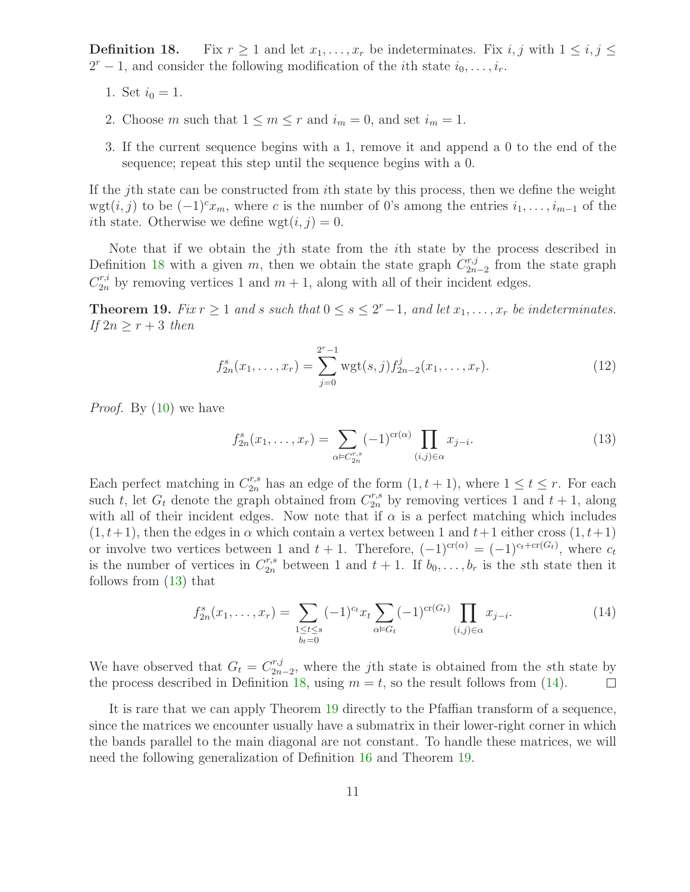**Definition 18.** Fix  $r \geq 1$  and let  $x_1, \ldots, x_r$  be indeterminates. Fix i, j with  $1 \leq i, j \leq r$  $2^r - 1$ , and consider the following modification of the *i*th state  $i_0, \ldots, i_r$ .

- 1. Set  $i_0 = 1$ .
- 2. Choose m such that  $1 \le m \le r$  and  $i_m = 0$ , and set  $i_m = 1$ .
- 3. If the current sequence begins with a 1, remove it and append a 0 to the end of the sequence; repeat this step until the sequence begins with a 0.

If the jth state can be constructed from ith state by this process, then we define the weight wgt $(i, j)$  to be  $(-1)^{c}x_m$ , where c is the number of 0's among the entries  $i_1, \ldots, i_{m-1}$  of the *i*th state. Otherwise we define  $wgt(i, j) = 0$ .

Note that if we obtain the jth state from the ith state by the process described in Definition [18](#page-9-2) with a given m, then we obtain the state graph  $C_{2n}^{r,j}$  $x_{2n-2}^{r,j}$  from the state graph  $C_{2n}^{r,i}$  by removing vertices 1 and  $m+1$ , along with all of their incident edges.

<span id="page-10-4"></span><span id="page-10-2"></span>**Theorem 19.** Fix  $r \geq 1$  and s such that  $0 \leq s \leq 2^r-1$ , and let  $x_1, \ldots, x_r$  be indeterminates. If  $2n \geq r+3$  then

$$
f_{2n}^s(x_1,\ldots,x_r) = \sum_{j=0}^{2^r-1} \text{wgt}(s,j) f_{2n-2}^j(x_1,\ldots,x_r). \tag{12}
$$

<span id="page-10-0"></span>Proof. By [\(10\)](#page-9-0) we have

$$
f_{2n}^s(x_1, \dots, x_r) = \sum_{\alpha \in C_{2n}^{r,s}} (-1)^{\operatorname{cr}(\alpha)} \prod_{(i,j) \in \alpha} x_{j-i}.
$$
 (13)

Each perfect matching in  $C_{2n}^{r,s}$  has an edge of the form  $(1, t + 1)$ , where  $1 \leq t \leq r$ . For each such t, let  $G_t$  denote the graph obtained from  $C_{2n}^{r,s}$  by removing vertices 1 and  $t + 1$ , along with all of their incident edges. Now note that if  $\alpha$  is a perfect matching which includes  $(1, t+1)$ , then the edges in  $\alpha$  which contain a vertex between 1 and  $t+1$  either cross  $(1, t+1)$ or involve two vertices between 1 and  $t + 1$ . Therefore,  $(-1)^{cr(\alpha)} = (-1)^{c_t + cr(G_t)}$ , where  $c_t$ is the number of vertices in  $C_{2n}^{r,s}$  between 1 and  $t+1$ . If  $b_0, \ldots, b_r$  is the sth state then it follows from [\(13\)](#page-10-0) that

<span id="page-10-1"></span>
$$
f_{2n}^s(x_1,\ldots,x_r) = \sum_{\substack{1 \le t \le s \\ b_t=0}} (-1)^{c_t} x_t \sum_{\alpha \in G_t} (-1)^{\operatorname{cr}(G_t)} \prod_{(i,j) \in \alpha} x_{j-i}.
$$
 (14)

We have observed that  $G_t = C_{2n}^{r,j}$  $\sum_{2n-2}^{r,j}$ , where the *j*th state is obtained from the *s*th state by the process described in Definition [18,](#page-9-2) using  $m = t$ , so the result follows from [\(14\)](#page-10-1).  $\Box$ 

<span id="page-10-3"></span>It is rare that we can apply Theorem [19](#page-10-2) directly to the Pfaffian transform of a sequence, since the matrices we encounter usually have a submatrix in their lower-right corner in which the bands parallel to the main diagonal are not constant. To handle these matrices, we will need the following generalization of Definition [16](#page-9-3) and Theorem [19.](#page-10-2)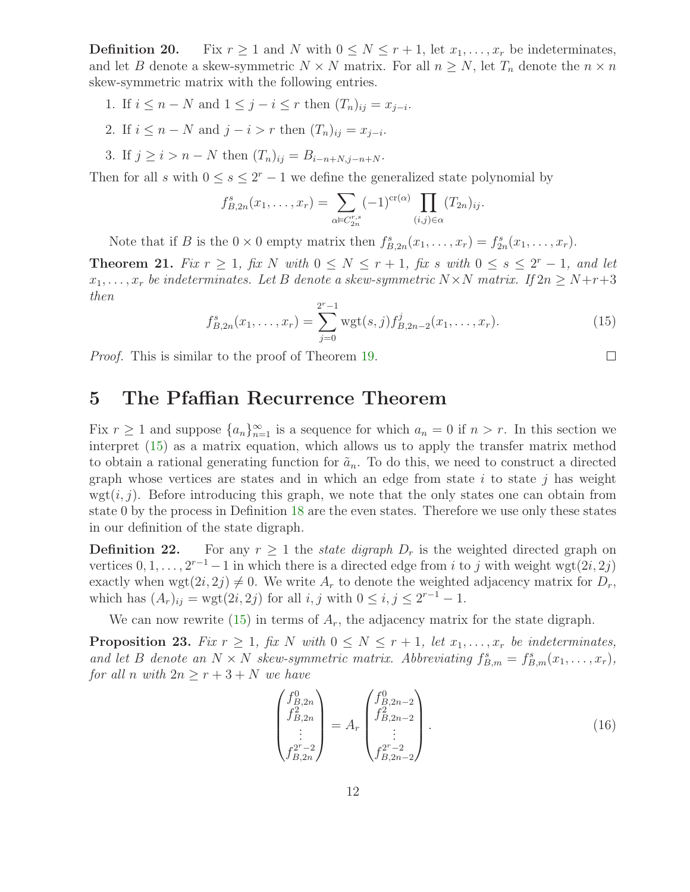**Definition 20.** Fix  $r \geq 1$  and N with  $0 \leq N \leq r+1$ , let  $x_1, \ldots, x_r$  be indeterminates, and let B denote a skew-symmetric  $N \times N$  matrix. For all  $n \geq N$ , let  $T_n$  denote the  $n \times n$ skew-symmetric matrix with the following entries.

- 1. If  $i \leq n N$  and  $1 \leq j i \leq r$  then  $(T_n)_{ij} = x_{j-i}$ .
- 2. If  $i \leq n N$  and  $j i > r$  then  $(T_n)_{ij} = x_{j-i}$ .
- 3. If  $j \ge i > n N$  then  $(T_n)_{ii} = B_{i-n+N,i-n+N}$ .

Then for all s with  $0 \leq s \leq 2^{r} - 1$  we define the generalized state polynomial by

$$
f_{B,2n}^s(x_1,\ldots,x_r) = \sum_{\alpha \in C_{2n}^{r,s}} (-1)^{\operatorname{cr}(\alpha)} \prod_{(i,j) \in \alpha} (T_{2n})_{ij}.
$$

Note that if B is the  $0 \times 0$  empty matrix then  $f_{B,2n}^s(x_1,\ldots,x_r) = f_{2n}^s(x_1,\ldots,x_r)$ .

<span id="page-11-0"></span>**Theorem 21.** Fix  $r \geq 1$ , fix N with  $0 \leq N \leq r+1$ , fix s with  $0 \leq s \leq 2^r-1$ , and let  $x_1, \ldots, x_r$  be indeterminates. Let B denote a skew-symmetric  $N \times N$  matrix. If  $2n \geq N+r+3$ then

$$
f_{B,2n}^s(x_1,\ldots,x_r) = \sum_{j=0}^{2^r-1} \text{wgt}(s,j) f_{B,2n-2}^j(x_1,\ldots,x_r). \tag{15}
$$

 $\Box$ 

Proof. This is similar to the proof of Theorem [19.](#page-10-2)

# 5 The Pfaffian Recurrence Theorem

Fix  $r \geq 1$  and suppose  $\{a_n\}_{n=1}^{\infty}$  is a sequence for which  $a_n = 0$  if  $n > r$ . In this section we interpret [\(15\)](#page-11-0) as a matrix equation, which allows us to apply the transfer matrix method to obtain a rational generating function for  $\tilde{a}_n$ . To do this, we need to construct a directed graph whose vertices are states and in which an edge from state  $i$  to state  $j$  has weight wgt $(i, j)$ . Before introducing this graph, we note that the only states one can obtain from state 0 by the process in Definition [18](#page-9-2) are the even states. Therefore we use only these states in our definition of the state digraph.

<span id="page-11-1"></span>**Definition 22.** For any  $r \geq 1$  the state digraph  $D_r$  is the weighted directed graph on vertices  $0, 1, \ldots, 2^{r-1} - 1$  in which there is a directed edge from i to j with weight wgt $(2i, 2j)$ exactly when wgt $(2i, 2j) \neq 0$ . We write  $A_r$  to denote the weighted adjacency matrix for  $D_r$ , which has  $(A_r)_{ij} = \text{wgt}(2i, 2j)$  for all  $i, j$  with  $0 \le i, j \le 2^{r-1} - 1$ .

We can now rewrite  $(15)$  in terms of  $A_r$ , the adjacency matrix for the state digraph.

<span id="page-11-2"></span>**Proposition 23.** Fix  $r \geq 1$ , fix N with  $0 \leq N \leq r+1$ , let  $x_1, \ldots, x_r$  be indeterminates, and let B denote an  $N \times N$  skew-symmetric matrix. Abbreviating  $f_{B,m}^s = f_{B,m}^s(x_1, \ldots, x_r)$ , for all n with  $2n \ge r+3+N$  we have

<span id="page-11-3"></span>
$$
\begin{pmatrix} f_{B,2n}^0 \\ f_{B,2n}^2 \\ \vdots \\ f_{B,2n}^{2^r-2} \end{pmatrix} = A_r \begin{pmatrix} f_{B,2n-2}^0 \\ f_{B,2n-2}^2 \\ \vdots \\ f_{B,2n-2}^{2^r-2} \end{pmatrix} . \tag{16}
$$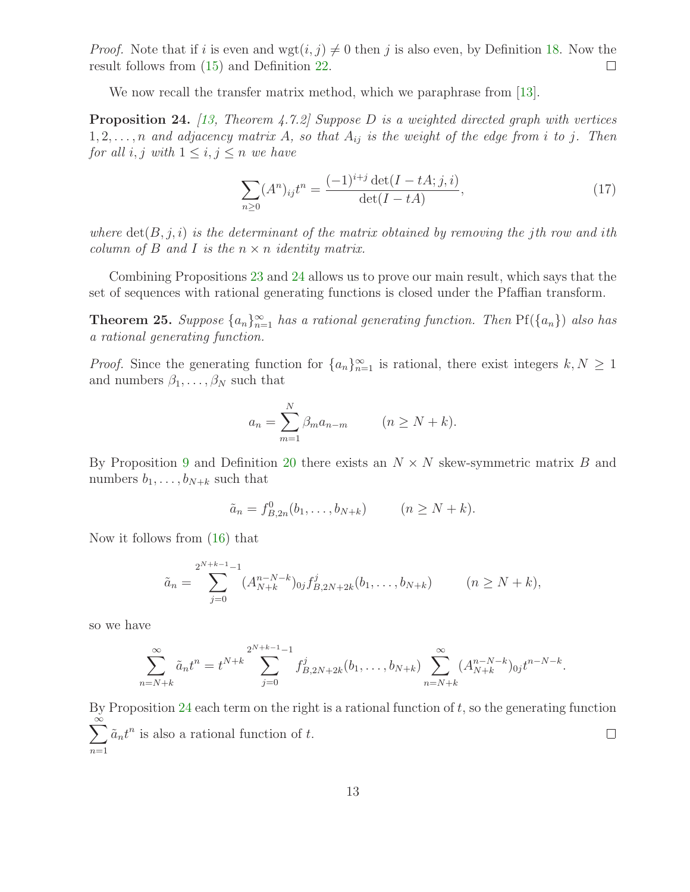*Proof.* Note that if i is even and wgt $(i, j) \neq 0$  then j is also even, by Definition [18.](#page-9-2) Now the result follows from (15) and Definition 22. result follows from [\(15\)](#page-11-0) and Definition [22.](#page-11-1)

We now recall the transfer matrix method, which we paraphrase from [\[13\]](#page-18-4).

<span id="page-12-0"></span>**Proposition 24.** [\[13,](#page-18-4) Theorem 4.7.2] Suppose D is a weighted directed graph with vertices  $1, 2, \ldots, n$  and adjacency matrix A, so that  $A_{ij}$  is the weight of the edge from i to j. Then for all i, j with  $1 \leq i, j \leq n$  we have

$$
\sum_{n\geq 0} (A^n)_{ij} t^n = \frac{(-1)^{i+j} \det(I - tA; j, i)}{\det(I - tA)},
$$
\n(17)

where  $\det(B, j, i)$  is the determinant of the matrix obtained by removing the jth row and ith column of B and I is the  $n \times n$  identity matrix.

Combining Propositions [23](#page-11-2) and [24](#page-12-0) allows us to prove our main result, which says that the set of sequences with rational generating functions is closed under the Pfaffian transform.

**Theorem 25.** Suppose  $\{a_n\}_{n=1}^{\infty}$  has a rational generating function. Then  $Pf(\{a_n\})$  also has a rational generating function.

*Proof.* Since the generating function for  $\{a_n\}_{n=1}^{\infty}$  is rational, there exist integers  $k, N \geq 1$ and numbers  $\beta_1, \ldots, \beta_N$  such that

$$
a_n = \sum_{m=1}^{N} \beta_m a_{n-m} \qquad (n \ge N + k).
$$

By Proposition [9](#page-6-1) and Definition [20](#page-10-3) there exists an  $N \times N$  skew-symmetric matrix B and numbers  $b_1, \ldots, b_{N+k}$  such that

$$
\tilde{a}_n = f_{B,2n}^0(b_1, ..., b_{N+k})
$$
  $(n \ge N+k).$ 

Now it follows from [\(16\)](#page-11-3) that

$$
\tilde{a}_n = \sum_{j=0}^{2^{N+k-1}-1} (A_{N+k}^{n-N-k})_{0j} f_{B,2N+2k}^j(b_1,\ldots,b_{N+k}) \qquad (n \ge N+k),
$$

so we have

$$
\sum_{n=N+k}^{\infty} \tilde{a}_n t^n = t^{N+k} \sum_{j=0}^{2^{N+k-1}-1} f_{B,2N+2k}^j(b_1, \dots, b_{N+k}) \sum_{n=N+k}^{\infty} (A_{N+k}^{n-N-k})_{0j} t^{n-N-k}.
$$

By Proposition  $24$  each term on the right is a rational function of  $t$ , so the generating function  $\sum_{n=1}^{\infty} a_n t^n$  is also a rational function of t.  $\Box$  $n=1$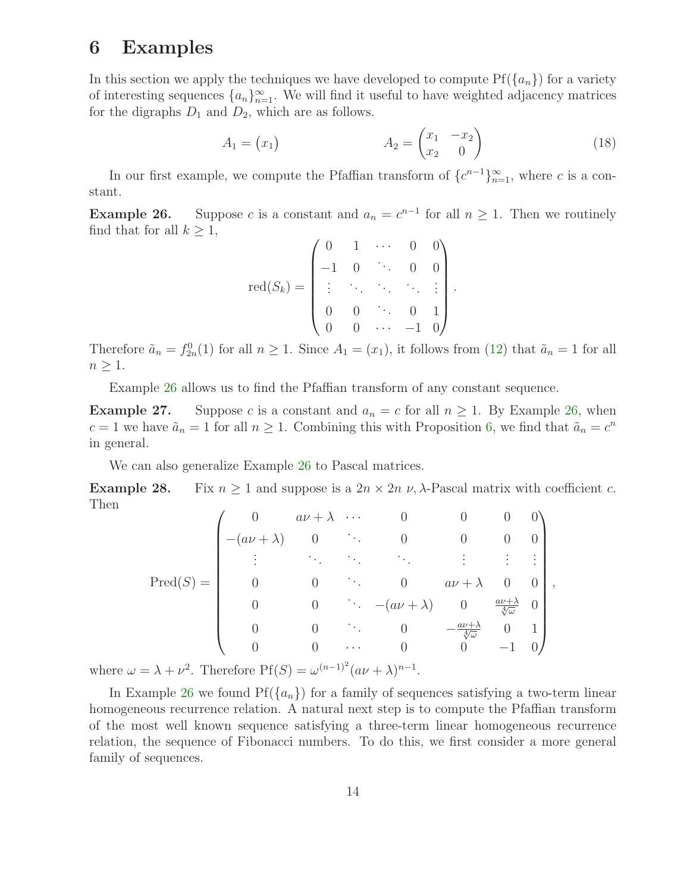# 6 Examples

In this section we apply the techniques we have developed to compute  $Pf(\lbrace a_n \rbrace)$  for a variety of interesting sequences  $\{a_n\}_{n=1}^{\infty}$ . We will find it useful to have weighted adjacency matrices for the digraphs  $D_1$  and  $D_2$ , which are as follows.

<span id="page-13-2"></span>
$$
A_1 = \begin{pmatrix} x_1 \\ x_2 \end{pmatrix} \qquad \qquad A_2 = \begin{pmatrix} x_1 & -x_2 \\ x_2 & 0 \end{pmatrix} \tag{18}
$$

.

<span id="page-13-0"></span>In our first example, we compute the Pfaffian transform of  $\{c^{n-1}\}_{n=1}^{\infty}$ , where c is a constant.

**Example 26.** Suppose c is a constant and  $a_n = c^{n-1}$  for all  $n \ge 1$ . Then we routinely find that for all  $k \geq 1$ ,

$$
\text{red}(S_k) = \begin{pmatrix} 0 & 1 & \cdots & 0 & 0 \\ -1 & 0 & \ddots & 0 & 0 \\ \vdots & \ddots & \ddots & \ddots & \vdots \\ 0 & 0 & \ddots & 0 & 1 \\ 0 & 0 & \cdots & -1 & 0 \end{pmatrix}
$$

Therefore  $\tilde{a}_n = f_{2n}^0(1)$  for all  $n \ge 1$ . Since  $A_1 = (x_1)$ , it follows from [\(12\)](#page-10-4) that  $\tilde{a}_n = 1$  for all  $n \geq 1$ .

Example [26](#page-13-0) allows us to find the Pfaffian transform of any constant sequence.

**Example 27.** Suppose c is a constant and  $a_n = c$  for all  $n \ge 1$ . By Example [26,](#page-13-0) when  $c = 1$  we have  $\tilde{a}_n = 1$  for all  $n \ge 1$ . Combining this with Proposition [6,](#page-5-2) we find that  $\tilde{a}_n = c^n$ in general.

We can also generalize Example [26](#page-13-0) to Pascal matrices.

Example 28. Fix  $n \geq 1$  and suppose is a  $2n \times 2n \nu$ ,  $\lambda$ -Pascal matrix with coefficient c. Then

$$
\text{Pred}(S) = \begin{pmatrix}\n0 & a\nu + \lambda & \cdots & 0 & 0 & 0 & 0 \\
-(a\nu + \lambda) & 0 & \ddots & 0 & 0 & 0 & 0 \\
\vdots & \ddots & \ddots & \ddots & \ddots & \vdots & \vdots & \vdots \\
0 & 0 & \ddots & 0 & a\nu + \lambda & 0 & 0 \\
0 & 0 & \ddots & -(a\nu + \lambda) & 0 & \frac{a\nu + \lambda}{\sqrt[4]{\omega}} & 0 \\
0 & 0 & \ddots & 0 & -\frac{a\nu + \lambda}{\sqrt[4]{\omega}} & 0 & 1 \\
0 & 0 & \cdots & 0 & 0 & -1 & 0\n\end{pmatrix},
$$

where  $\omega = \lambda + \nu^2$ . Therefore  $Pf(S) = \omega^{(n-1)^2} (a\nu + \lambda)^{n-1}$ .

<span id="page-13-1"></span>In Example [26](#page-13-0) we found  $Pf({a_n})$  for a family of sequences satisfying a two-term linear homogeneous recurrence relation. A natural next step is to compute the Pfaffian transform of the most well known sequence satisfying a three-term linear homogeneous recurrence relation, the sequence of Fibonacci numbers. To do this, we first consider a more general family of sequences.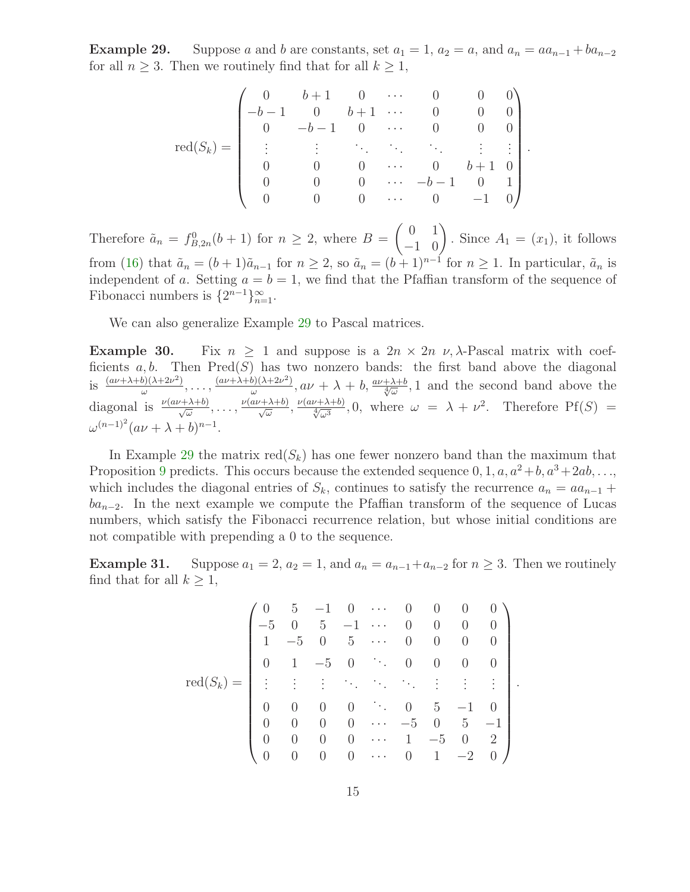**Example 29.** Suppose a and b are constants, set  $a_1 = 1$ ,  $a_2 = a$ , and  $a_n = aa_{n-1} + ba_{n-2}$ for all  $n \geq 3$ . Then we routinely find that for all  $k \geq 1$ ,

$$
\mathrm{red}(S_k) = \begin{pmatrix} 0 & b+1 & 0 & \cdots & 0 & 0 & 0 \\ -b-1 & 0 & b+1 & \cdots & 0 & 0 & 0 \\ 0 & -b-1 & 0 & \cdots & 0 & 0 & 0 \\ \vdots & \vdots & \ddots & \ddots & \ddots & \vdots & \vdots \\ 0 & 0 & 0 & \cdots & 0 & b+1 & 0 \\ 0 & 0 & 0 & \cdots & -b-1 & 0 & 1 \\ 0 & 0 & 0 & \cdots & 0 & -1 & 0 \end{pmatrix}.
$$

Therefore  $\tilde{a}_n = f_{B,2n}^0(b+1)$  for  $n \ge 2$ , where  $B = \begin{pmatrix} 0 & 1 \\ -1 & 0 \end{pmatrix}$ . Since  $A_1 = (x_1)$ , it follows from [\(16\)](#page-11-3) that  $\tilde{a}_n = (b+1)\tilde{a}_{n-1}$  for  $n \geq 2$ , so  $\tilde{a}_n = (b+1)^{n-1}$  for  $n \geq 1$ . In particular,  $\tilde{a}_n$  is independent of a. Setting  $a = b = 1$ , we find that the Pfaffian transform of the sequence of Fibonacci numbers is  $\{2^{n-1}\}_{n=1}^{\infty}$ .

We can also generalize Example [29](#page-13-1) to Pascal matrices.

**Example 30.** Fix  $n \geq 1$  and suppose is a  $2n \times 2n$  v,  $\lambda$ -Pascal matrix with coefficients  $a, b$ . Then  $Pred(S)$  has two nonzero bands: the first band above the diagonal is  $\frac{(a\nu+\lambda+b)(\lambda+2\nu^2)}{\omega}$  $\frac{(a\nu+\lambda+b)(\lambda+2\nu^2)}{\omega}, \ldots, \frac{(a\nu+\lambda+b)(\lambda+2\nu^2)}{\omega}$  $\frac{\partial h(\lambda + 2\nu^2)}{\partial \mu}$ ,  $a\nu + \lambda + b$ ,  $\frac{a\nu + \lambda + b}{\sqrt[4]{\omega}}$ , 1 and the second band above the diagonal is  $\frac{\nu(a\nu+\lambda+b)}{\sqrt{\omega}}, \ldots, \frac{\nu(a\nu+\lambda+b)}{\sqrt{\omega}}, \frac{\nu(a\nu+\lambda+b)}{\sqrt{\omega^3}}, 0$ , where  $\omega = \lambda + \nu^2$ . Therefore Pf(S) =  $\omega^{(n-1)^2} (a\nu + \lambda + b)^{n-1}.$ 

In Example [29](#page-13-1) the matrix  $red(S_k)$  has one fewer nonzero band than the maximum that Proposition [9](#page-6-1) predicts. This occurs because the extended sequence  $0, 1, a, a^2+b, a^3+2ab, \ldots$ which includes the diagonal entries of  $S_k$ , continues to satisfy the recurrence  $a_n = aa_{n-1}$  +  $ba_{n-2}$ . In the next example we compute the Pfaffian transform of the sequence of Lucas numbers, which satisfy the Fibonacci recurrence relation, but whose initial conditions are not compatible with prepending a 0 to the sequence.

**Example 31.** Suppose  $a_1 = 2$ ,  $a_2 = 1$ , and  $a_n = a_{n-1} + a_{n-2}$  for  $n \ge 3$ . Then we routinely find that for all  $k \geq 1$ ,

$$
\text{red}(S_k) = \begin{pmatrix}\n0 & 5 & -1 & 0 & \cdots & 0 & 0 & 0 & 0 & 0 \\
-5 & 0 & 5 & -1 & \cdots & 0 & 0 & 0 & 0 & 0 \\
1 & -5 & 0 & 5 & \cdots & 0 & 0 & 0 & 0 & 0 \\
0 & 1 & -5 & 0 & \ddots & 0 & 0 & 0 & 0 & 0 \\
\vdots & \vdots & \vdots & \ddots & \ddots & \ddots & \vdots & \vdots & \vdots & \vdots \\
0 & 0 & 0 & 0 & \cdots & 0 & 5 & -1 & 0 \\
0 & 0 & 0 & 0 & \cdots & -5 & 0 & 5 & -1 \\
0 & 0 & 0 & 0 & \cdots & 1 & -5 & 0 & 2 \\
0 & 0 & 0 & 0 & \cdots & 0 & 1 & -2 & 0\n\end{pmatrix}
$$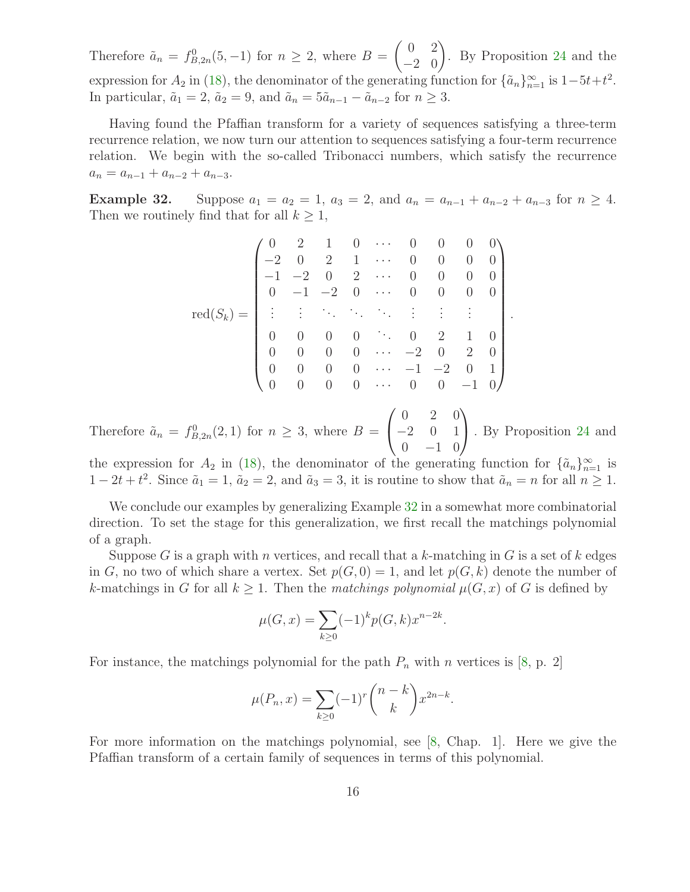Therefore  $\tilde{a}_n = f_{B,2n}^0(5, -1)$  for  $n \ge 2$ , where  $B = \begin{pmatrix} 0 & 2 \\ -2 & 0 \end{pmatrix}$ . By Proposition [24](#page-12-0) and the expression for  $A_2$  in [\(18\)](#page-13-2), the denominator of the generating function for  $\{\tilde{a}_n\}_{n=1}^{\infty}$  is  $1-5t+t^2$ . In particular,  $\tilde{a}_1 = 2$ ,  $\tilde{a}_2 = 9$ , and  $\tilde{a}_n = 5\tilde{a}_{n-1} - \tilde{a}_{n-2}$  for  $n \geq 3$ .

Having found the Pfaffian transform for a variety of sequences satisfying a three-term recurrence relation, we now turn our attention to sequences satisfying a four-term recurrence relation. We begin with the so-called Tribonacci numbers, which satisfy the recurrence  $a_n = a_{n-1} + a_{n-2} + a_{n-3}.$ 

<span id="page-15-0"></span>Example 32. Suppose  $a_1 = a_2 = 1$ ,  $a_3 = 2$ , and  $a_n = a_{n-1} + a_{n-2} + a_{n-3}$  for  $n \ge 4$ . Then we routinely find that for all  $k \geq 1$ ,

$$
\mathrm{red}(S_k)=\begin{pmatrix} 0 & 2 & 1 & 0 & \cdots & 0 & 0 & 0 & 0 \\ -2 & 0 & 2 & 1 & \cdots & 0 & 0 & 0 & 0 \\ -1 & -2 & 0 & 2 & \cdots & 0 & 0 & 0 & 0 \\ 0 & -1 & -2 & 0 & \cdots & 0 & 0 & 0 & 0 \\ \vdots & \vdots & \ddots & \ddots & \ddots & \vdots & \vdots & \vdots & \vdots \\ 0 & 0 & 0 & 0 & \cdots & 0 & 2 & 1 & 0 \\ 0 & 0 & 0 & 0 & \cdots & -2 & 0 & 2 & 0 \\ 0 & 0 & 0 & 0 & \cdots & -1 & -2 & 0 & 1 \\ 0 & 0 & 0 & 0 & \cdots & 0 & 0 & -1 & 0 \end{pmatrix}.
$$

Therefore  $\tilde{a}_n = f_{B,2n}^0(2,1)$  for  $n \geq 3$ , where  $B =$  $\sqrt{ }$  $\overline{1}$ 0 2 0 −2 0 1  $0 \t -1 \t 0$  $\setminus$ . By Proposition [24](#page-12-0) and

the expression for  $A_2$  in [\(18\)](#page-13-2), the denominator of the generating function for  $\{\tilde{a}_n\}_{n=1}^{\infty}$  is  $1-2t+t^2$ . Since  $\tilde{a}_1=1$ ,  $\tilde{a}_2=2$ , and  $\tilde{a}_3=3$ , it is routine to show that  $\tilde{a}_n=n$  for all  $n\geq 1$ .

We conclude our examples by generalizing Example [32](#page-15-0) in a somewhat more combinatorial direction. To set the stage for this generalization, we first recall the matchings polynomial of a graph.

Suppose G is a graph with n vertices, and recall that a k-matching in G is a set of k edges in G, no two of which share a vertex. Set  $p(G, 0) = 1$ , and let  $p(G, k)$  denote the number of k-matchings in G for all  $k \geq 1$ . Then the matchings polynomial  $\mu(G, x)$  of G is defined by

$$
\mu(G, x) = \sum_{k \ge 0} (-1)^k p(G, k) x^{n-2k}.
$$

For instance, the matchings polynomial for the path  $P_n$  with n vertices is [\[8,](#page-18-14) p. 2]

$$
\mu(P_n, x) = \sum_{k \ge 0} (-1)^r \binom{n-k}{k} x^{2n-k}.
$$

For more information on the matchings polynomial, see [\[8,](#page-18-14) Chap. 1]. Here we give the Pfaffian transform of a certain family of sequences in terms of this polynomial.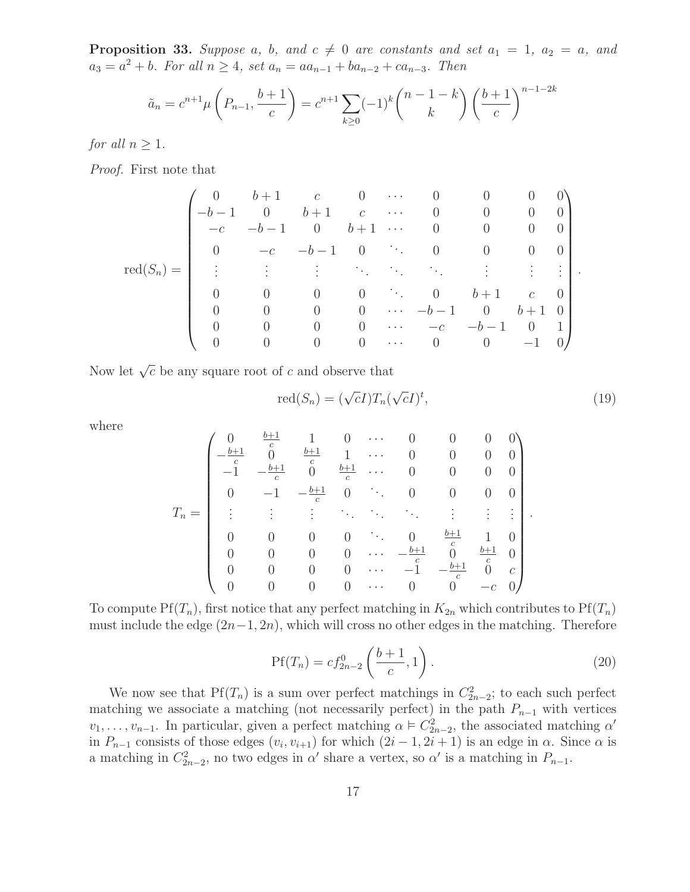**Proposition 33.** Suppose a, b, and  $c \neq 0$  are constants and set  $a_1 = 1$ ,  $a_2 = a$ , and  $a_3 = a^2 + b$ . For all  $n \ge 4$ , set  $a_n = aa_{n-1} + ba_{n-2} + ca_{n-3}$ . Then

$$
\tilde{a}_n = c^{n+1} \mu \left( P_{n-1}, \frac{b+1}{c} \right) = c^{n+1} \sum_{k \ge 0} (-1)^k {n-1-k \choose k} \left( \frac{b+1}{c} \right)^{n-1-2k}
$$

for all  $n \geq 1$ .

Proof. First note that

$$
\mathrm{red}(S_n)=\begin{pmatrix}0&b+1&c&0&\cdots&0&0&0&0&0\\-b-1&0&b+1&c&\cdots&0&0&0&0\\-c&-b-1&0&b+1&\cdots&0&0&0&0\\0&-c&-b-1&0&\ddots&0&0&0&0\\ \vdots&\vdots&\vdots&\ddots&\ddots&\ddots&\vdots&\vdots&\vdots\\0&0&0&0&\ddots&0&b+1&c&0\\0&0&0&0&\cdots&-b-1&0&b+1&0\\0&0&0&0&\cdots&-c&-b-1&0&1\\0&0&0&0&\cdots&0&0&-1&0\end{pmatrix}.
$$

Now let  $\sqrt{c}$  be any square root of c and observe that

<span id="page-16-0"></span>
$$
red(S_n) = (\sqrt{c}I)T_n(\sqrt{c}I)^t,
$$
\n(19)

where

$$
T_n=\left(\begin{array}{ccccc} 0&\frac{b+1}{c}&1&0&\cdots&0&0&0&0\\ -\frac{b+1}{c}&0&\frac{b+1}{c}&1&\cdots&0&0&0&0\\ -1&-\frac{b+1}{c}&0&\frac{b+1}{c}&\cdots&0&0&0&0\\ 0&-1&-\frac{b+1}{c}&0&\ddots&0&0&0&0\\ \vdots&\vdots&\vdots&\ddots&\ddots&\ddots&\vdots&\vdots&\vdots\\ 0&0&0&0&\cdots&0&\frac{b+1}{c}&1&0\\ 0&0&0&0&\cdots&-\frac{b+1}{c}&0&\frac{b+1}{c}&0\\ 0&0&0&0&\cdots&-1&-\frac{b+1}{c}&0&c\\ 0&0&0&0&\cdots&0&0&-c&0\end{array}\right).
$$

<span id="page-16-1"></span>To compute  $Pf(T_n)$ , first notice that any perfect matching in  $K_{2n}$  which contributes to  $Pf(T_n)$ must include the edge  $(2n-1, 2n)$ , which will cross no other edges in the matching. Therefore

$$
Pf(T_n) = cf_{2n-2}^0\left(\frac{b+1}{c}, 1\right).
$$
 (20)

We now see that  $Pf(T_n)$  is a sum over perfect matchings in  $C_{2n-2}^2$ ; to each such perfect matching we associate a matching (not necessarily perfect) in the path  $P_{n-1}$  with vertices  $v_1, \ldots, v_{n-1}$ . In particular, given a perfect matching  $\alpha \models C_{2n-2}^2$ , the associated matching  $\alpha'$ in  $P_{n-1}$  consists of those edges  $(v_i, v_{i+1})$  for which  $(2i - 1, 2i + 1)$  is an edge in  $\alpha$ . Since  $\alpha$  is a matching in  $C_{2n-2}^2$ , no two edges in  $\alpha'$  share a vertex, so  $\alpha'$  is a matching in  $P_{n-1}$ .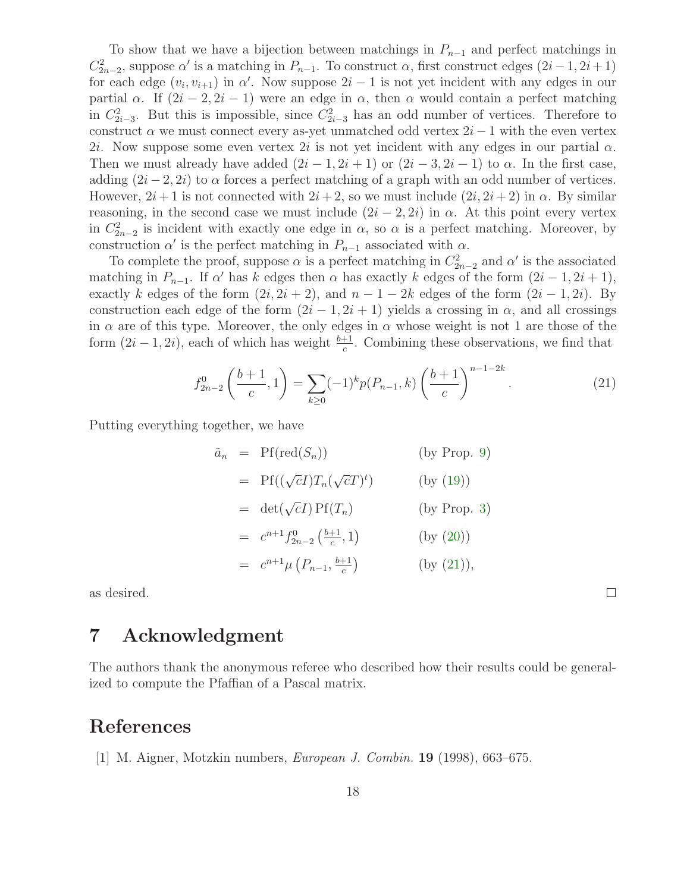To show that we have a bijection between matchings in  $P_{n-1}$  and perfect matchings in  $C_{2n-2}^2$ , suppose  $\alpha'$  is a matching in  $P_{n-1}$ . To construct  $\alpha$ , first construct edges  $(2i-1, 2i+1)$ for each edge  $(v_i, v_{i+1})$  in  $\alpha'$ . Now suppose  $2i - 1$  is not yet incident with any edges in our partial  $\alpha$ . If  $(2i - 2, 2i - 1)$  were an edge in  $\alpha$ , then  $\alpha$  would contain a perfect matching in  $C_{2i-3}^2$ . But this is impossible, since  $C_{2i-3}^2$  has an odd number of vertices. Therefore to construct  $\alpha$  we must connect every as-yet unmatched odd vertex  $2i - 1$  with the even vertex 2i. Now suppose some even vertex 2i is not yet incident with any edges in our partial  $\alpha$ . Then we must already have added  $(2i - 1, 2i + 1)$  or  $(2i - 3, 2i - 1)$  to  $\alpha$ . In the first case, adding  $(2i - 2, 2i)$  to  $\alpha$  forces a perfect matching of a graph with an odd number of vertices. However,  $2i+1$  is not connected with  $2i+2$ , so we must include  $(2i, 2i+2)$  in  $\alpha$ . By similar reasoning, in the second case we must include  $(2i - 2, 2i)$  in  $\alpha$ . At this point every vertex in  $C_{2n-2}^2$  is incident with exactly one edge in  $\alpha$ , so  $\alpha$  is a perfect matching. Moreover, by construction  $\alpha'$  is the perfect matching in  $P_{n-1}$  associated with  $\alpha$ .

To complete the proof, suppose  $\alpha$  is a perfect matching in  $C_{2n-2}^2$  and  $\alpha'$  is the associated matching in  $P_{n-1}$ . If  $\alpha'$  has k edges then  $\alpha$  has exactly k edges of the form  $(2i-1, 2i+1)$ , exactly k edges of the form  $(2i, 2i + 2)$ , and  $n - 1 - 2k$  edges of the form  $(2i - 1, 2i)$ . By construction each edge of the form  $(2i - 1, 2i + 1)$  yields a crossing in  $\alpha$ , and all crossings in  $\alpha$  are of this type. Moreover, the only edges in  $\alpha$  whose weight is not 1 are those of the form  $(2i - 1, 2i)$ , each of which has weight  $\frac{b+1}{c}$ . Combining these observations, we find that

$$
f_{2n-2}^0\left(\frac{b+1}{c},1\right) = \sum_{k\geq 0} (-1)^k p(P_{n-1},k) \left(\frac{b+1}{c}\right)^{n-1-2k}.\tag{21}
$$

<span id="page-17-1"></span> $\Box$ 

Putting everything together, we have

$$
\tilde{a}_n = \text{Pf}(\text{red}(S_n)) \qquad \text{(by Prop. 9)}
$$
\n
$$
= \text{Pf}((\sqrt{c}I)T_n(\sqrt{c}T)^t) \qquad \text{(by (19))}
$$
\n
$$
= \det(\sqrt{c}I)\text{Pf}(T_n) \qquad \text{(by Prop. 3)}
$$
\n
$$
= c^{n+1}f_{2n-2}^0(\frac{b+1}{c}, 1) \qquad \text{(by (20))}
$$
\n
$$
= c^{n+1}\mu(P_{n-1}, \frac{b+1}{c}) \qquad \text{(by (21)),}
$$

as desired.

# 7 Acknowledgment

The authors thank the anonymous referee who described how their results could be generalized to compute the Pfaffian of a Pascal matrix.

#### <span id="page-17-0"></span>References

[1] M. Aigner, Motzkin numbers, European J. Combin. 19 (1998), 663–675.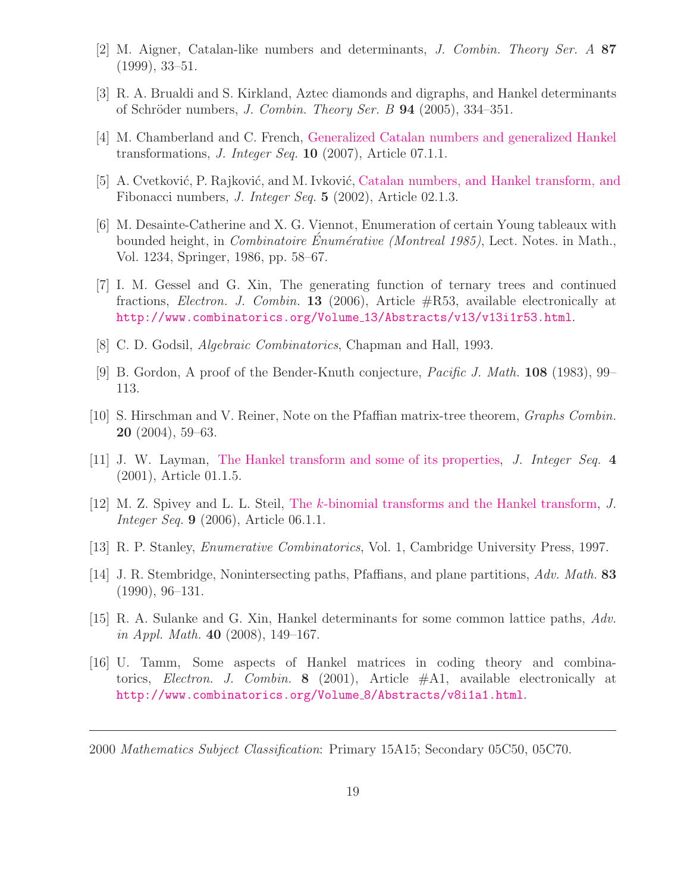- <span id="page-18-7"></span><span id="page-18-6"></span>[2] M. Aigner, Catalan-like numbers and determinants, J. Combin. Theory Ser. A 87 (1999), 33–51.
- <span id="page-18-1"></span>[3] R. A. Brualdi and S. Kirkland, Aztec diamonds and digraphs, and Hankel determinants of Schröder numbers, *J. Combin. Theory Ser. B* **94** (2005), 334–351.
- <span id="page-18-2"></span>[4] M. Chamberland and C. French, [Generalized Catalan numbers and generalized Hankel](http://www.cs.uwaterloo.ca/journals/JIS/VOL10/Chamberland/chamberland12.html) transformations, *J. Integer Seq.* **10** (2007), Article 07.1.1.
- <span id="page-18-5"></span>[5] A. Cvetković, P. Rajković, and M. Ivković, [Catalan numbers, and Hankel transform, and](http://www.cs.uwaterloo.ca/journals/JIS/VOL5/Ivkovic/ivkovic3.html) Fibonacci numbers, J. Integer Seq. 5 (2002), Article 02.1.3.
- [6] M. Desainte-Catherine and X. G. Viennot, Enumeration of certain Young tableaux with bounded height, in *Combinatoire Énumérative (Montreal 1985)*, Lect. Notes. in Math., Vol. 1234, Springer, 1986, pp. 58–67.
- <span id="page-18-8"></span>[7] I. M. Gessel and G. Xin, The generating function of ternary trees and continued fractions, Electron. J. Combin. 13 (2006), Article #R53, available electronically at [http://www.combinatorics.org/Volume](http://www.combinatorics.org/Volume_13/Abstracts/v13/v13i1r53.html) 13/Abstracts/v13/v13i1r53.html.
- <span id="page-18-14"></span><span id="page-18-12"></span>[8] C. D. Godsil, Algebraic Combinatorics, Chapman and Hall, 1993.
- [9] B. Gordon, A proof of the Bender-Knuth conjecture, Pacific J. Math. 108 (1983), 99– 113.
- <span id="page-18-13"></span>[10] S. Hirschman and V. Reiner, Note on the Pfaffian matrix-tree theorem, Graphs Combin.  $20$   $(2004)$ , 59–63.
- <span id="page-18-3"></span><span id="page-18-0"></span>[11] J. W. Layman, [The Hankel transform and some of its properties,](http://www.cs.uwaterloo.ca/journals/JIS/VOL4/LAYMAN/hankel.html) J. Integer Seq. 4 (2001), Article 01.1.5.
- <span id="page-18-4"></span>[12] M. Z. Spivey and L. L. Steil, The k[-binomial transforms and the Hankel transform,](http://www.cs.uwaterloo.ca/journals/JIS/VOL9/Spivey/spivey7.html) J. *Integer Seq.* **9** (2006), Article 06.1.1.
- <span id="page-18-11"></span>[13] R. P. Stanley, Enumerative Combinatorics, Vol. 1, Cambridge University Press, 1997.
- [14] J. R. Stembridge, Nonintersecting paths, Pfaffians, and plane partitions, Adv. Math. 83 (1990), 96–131.
- <span id="page-18-9"></span>[15] R. A. Sulanke and G. Xin, Hankel determinants for some common lattice paths, Adv. in Appl. Math. 40  $(2008)$ , 149–167.
- <span id="page-18-10"></span>[16] U. Tamm, Some aspects of Hankel matrices in coding theory and combinatorics, *Electron. J. Combin.* **8** (2001), Article  $\#A1$ , available electronically at [http://www.combinatorics.org/Volume](http://www.combinatorics.org/Volume_8/Abstracts/v8i1a1.html) 8/Abstracts/v8i1a1.html.

2000 Mathematics Subject Classification: Primary 15A15; Secondary 05C50, 05C70.